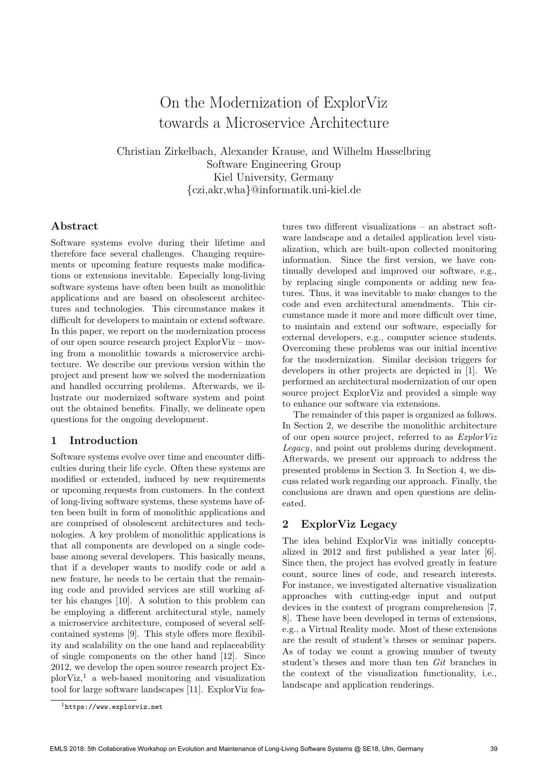# On the Modernization of ExplorViz towards a Microservice Architecture

Christian Zirkelbach, Alexander Krause, and Wilhelm Hasselbring Software Engineering Group Kiel University, Germany {czi,akr,wha}@informatik.uni-kiel.de

### Abstract

Software systems evolve during their lifetime and therefore face several challenges. Changing requirements or upcoming feature requests make modifications or extensions inevitable. Especially long-living software systems have often been built as monolithic applications and are based on obsolescent architectures and technologies. This circumstance makes it difficult for developers to maintain or extend software. In this paper, we report on the modernization process of our open source research project ExplorViz – moving from a monolithic towards a microservice architecture. We describe our previous version within the project and present how we solved the modernization and handled occurring problems. Afterwards, we illustrate our modernized software system and point out the obtained benefits. Finally, we delineate open questions for the ongoing development.

## 1 Introduction

Software systems evolve over time and encounter difficulties during their life cycle. Often these systems are modified or extended, induced by new requirements or upcoming requests from customers. In the context of long-living software systems, these systems have often been built in form of monolithic applications and are comprised of obsolescent architectures and technologies. A key problem of monolithic applications is that all components are developed on a single codebase among several developers. This basically means, that if a developer wants to modify code or add a new feature, he needs to be certain that the remaining code and provided services are still working after his changes [\[10\]](#page-3-0). A solution to this problem can be employing a different architectural style, namely a microservice architecture, composed of several selfcontained systems [\[9\]](#page-3-1). This style offers more flexibility and scalability on the one hand and replaceability of single components on the other hand [\[12\]](#page-3-2). Since 2012, we develop the open source research project ExplorViz,[1](#page-0-0) a web-based monitoring and visualization tool for large software landscapes [\[11\]](#page-3-3). ExplorViz features two different visualizations – an abstract software landscape and a detailed application level visualization, which are built-upon collected monitoring information. Since the first version, we have continually developed and improved our software, e.g., by replacing single components or adding new features. Thus, it was inevitable to make changes to the code and even architectural amendments. This circumstance made it more and more difficult over time, to maintain and extend our software, especially for external developers, e.g., computer science students. Overcoming these problems was our initial incentive for the modernization. Similar decision triggers for developers in other projects are depicted in [\[1\]](#page-3-4). We performed an architectural modernization of our open source project ExplorViz and provided a simple way to enhance our software via extensions.

The remainder of this paper is organized as follows. In [Section 2,](#page-0-1) we describe the monolithic architecture of our open source project, referred to as ExplorViz Legacy, and point out problems during development. Afterwards, we present our approach to address the presented problems in [Section 3.](#page-1-0) In [Section 4,](#page-2-0) we discuss related work regarding our approach. Finally, the conclusions are drawn and open questions are delineated.

## <span id="page-0-1"></span>2 ExplorViz Legacy

The idea behind ExplorViz was initially conceptualized in 2012 and first published a year later [\[6\]](#page-3-5). Since then, the project has evolved greatly in feature count, source lines of code, and research interests. For instance, we investigated alternative visualization approaches with cutting-edge input and output devices in the context of program comprehension [\[7,](#page-3-6) [8\]](#page-3-7). These have been developed in terms of extensions, e.g., a Virtual Reality mode. Most of these extensions are the result of student's theses or seminar papers. As of today we count a growing number of twenty student's theses and more than ten Git branches in the context of the visualization functionality, i.e., landscape and application renderings.

<span id="page-0-0"></span><sup>1</sup><https://www.explorviz.net>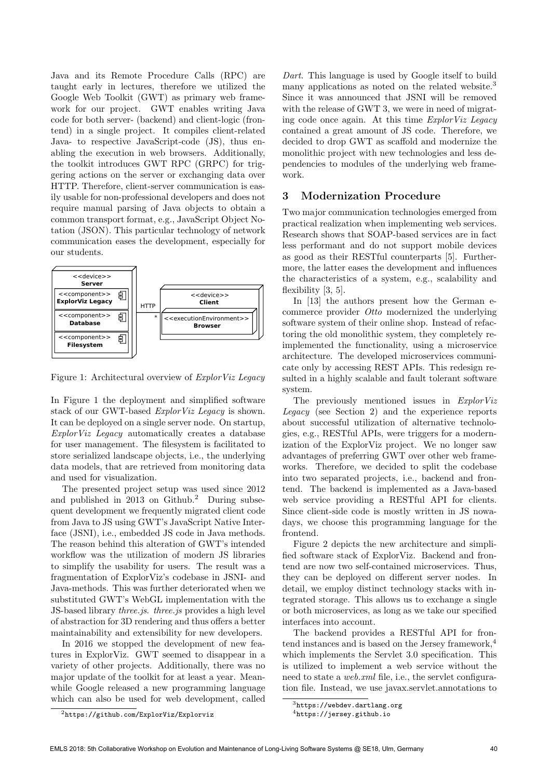Java and its Remote Procedure Calls (RPC) are taught early in lectures, therefore we utilized the Google Web Toolkit (GWT) as primary web framework for our project. GWT enables writing Java code for both server- (backend) and client-logic (frontend) in a single project. It compiles client-related Java- to respective JavaScript-code (JS), thus enabling the execution in web browsers. Additionally, the toolkit introduces GWT RPC (GRPC) for triggering actions on the server or exchanging data over HTTP. Therefore, client-server communication is easily usable for non-professional developers and does not require manual parsing of Java objects to obtain a common transport format, e.g., JavaScript Object Notation (JSON). This particular technology of network communication eases the development, especially for our students.



<span id="page-1-1"></span>Figure 1: Architectural overview of ExplorViz Legacy

In [Figure 1](#page-1-1) the deployment and simplified software stack of our GWT-based ExplorViz Legacy is shown. It can be deployed on a single server node. On startup, ExplorViz Legacy automatically creates a database for user management. The filesystem is facilitated to store serialized landscape objects, i.e., the underlying data models, that are retrieved from monitoring data and used for visualization.

The presented project setup was used since 2012 and published in  $2013$  $2013$  on Github.<sup>2</sup> During subsequent development we frequently migrated client code from Java to JS using GWT's JavaScript Native Interface (JSNI), i.e., embedded JS code in Java methods. The reason behind this alteration of GWT's intended workflow was the utilization of modern JS libraries to simplify the usability for users. The result was a fragmentation of ExplorViz's codebase in JSNI- and Java-methods. This was further deteriorated when we substituted GWT's WebGL implementation with the JS-based library *three.js. three.js* provides a high level of abstraction for 3D rendering and thus offers a better maintainability and extensibility for new developers.

<span id="page-1-2"></span>In 2016 we stopped the development of new features in ExplorViz. GWT seemed to disappear in a variety of other projects. Additionally, there was no major update of the toolkit for at least a year. Meanwhile Google released a new programming language which can also be used for web development, called

Dart. This language is used by Google itself to build many applications as noted on the related website.<sup>[3](#page-1-3)</sup> Since it was announced that JSNI will be removed with the release of GWT 3, we were in need of migrating code once again. At this time ExplorViz Legacy contained a great amount of JS code. Therefore, we decided to drop GWT as scaffold and modernize the monolithic project with new technologies and less dependencies to modules of the underlying web framework.

#### <span id="page-1-0"></span>3 Modernization Procedure

Two major communication technologies emerged from practical realization when implementing web services. Research shows that SOAP-based services are in fact less performant and do not support mobile devices as good as their RESTful counterparts [\[5\]](#page-3-8). Furthermore, the latter eases the development and influences the characteristics of a system, e.g., scalability and flexibility [\[3,](#page-3-9) [5\]](#page-3-8).

In [\[13\]](#page-3-10) the authors present how the German ecommerce provider Otto modernized the underlying software system of their online shop. Instead of refactoring the old monolithic system, they completely reimplemented the functionality, using a microservice architecture. The developed microservices communicate only by accessing REST APIs. This redesign resulted in a highly scalable and fault tolerant software system.

The previously mentioned issues in ExplorViz Legacy (see [Section 2\)](#page-0-1) and the experience reports about successful utilization of alternative technologies, e.g., RESTful APIs, were triggers for a modernization of the ExplorViz project. We no longer saw advantages of preferring GWT over other web frameworks. Therefore, we decided to split the codebase into two separated projects, i.e., backend and frontend. The backend is implemented as a Java-based web service providing a RESTful API for clients. Since client-side code is mostly written in JS nowadays, we choose this programming language for the frontend.

[Figure 2](#page-2-1) depicts the new architecture and simplified software stack of ExplorViz. Backend and frontend are now two self-contained microservices. Thus, they can be deployed on different server nodes. In detail, we employ distinct technology stacks with integrated storage. This allows us to exchange a single or both microservices, as long as we take our specified interfaces into account.

The backend provides a RESTful API for fron-tend instances and is based on the Jersey framework,<sup>[4](#page-1-4)</sup> which implements the Servlet 3.0 specification. This is utilized to implement a web service without the need to state a *web.xml* file, i.e., the servlet configuration file. Instead, we use javax.servlet.annotations to

<span id="page-1-3"></span><sup>3</sup><https://webdev.dartlang.org>

<span id="page-1-4"></span><sup>4</sup><https://jersey.github.io>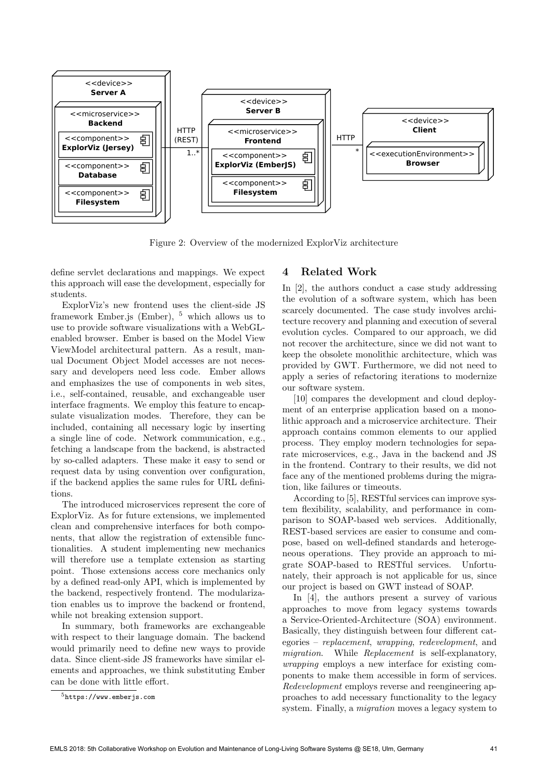

<span id="page-2-1"></span>Figure 2: Overview of the modernized ExplorViz architecture

define servlet declarations and mappings. We expect this approach will ease the development, especially for students.

ExplorViz's new frontend uses the client-side JS framework Ember.js (Ember), [5](#page-2-2) which allows us to use to provide software visualizations with a WebGLenabled browser. Ember is based on the Model View ViewModel architectural pattern. As a result, manual Document Object Model accesses are not necessary and developers need less code. Ember allows and emphasizes the use of components in web sites, i.e., self-contained, reusable, and exchangeable user interface fragments. We employ this feature to encapsulate visualization modes. Therefore, they can be included, containing all necessary logic by inserting a single line of code. Network communication, e.g., fetching a landscape from the backend, is abstracted by so-called adapters. These make it easy to send or request data by using convention over configuration, if the backend applies the same rules for URL definitions.

The introduced microservices represent the core of ExplorViz. As for future extensions, we implemented clean and comprehensive interfaces for both components, that allow the registration of extensible functionalities. A student implementing new mechanics will therefore use a template extension as starting point. Those extensions access core mechanics only by a defined read-only API, which is implemented by the backend, respectively frontend. The modularization enables us to improve the backend or frontend, while not breaking extension support.

In summary, both frameworks are exchangeable with respect to their language domain. The backend would primarily need to define new ways to provide data. Since client-side JS frameworks have similar elements and approaches, we think substituting Ember can be done with little effort.

#### <span id="page-2-0"></span>4 Related Work

In [\[2\]](#page-3-11), the authors conduct a case study addressing the evolution of a software system, which has been scarcely documented. The case study involves architecture recovery and planning and execution of several evolution cycles. Compared to our approach, we did not recover the architecture, since we did not want to keep the obsolete monolithic architecture, which was provided by GWT. Furthermore, we did not need to apply a series of refactoring iterations to modernize our software system.

[\[10\]](#page-3-0) compares the development and cloud deployment of an enterprise application based on a monolithic approach and a microservice architecture. Their approach contains common elements to our applied process. They employ modern technologies for separate microservices, e.g., Java in the backend and JS in the frontend. Contrary to their results, we did not face any of the mentioned problems during the migration, like failures or timeouts.

According to [\[5\]](#page-3-8), RESTful services can improve system flexibility, scalability, and performance in comparison to SOAP-based web services. Additionally, REST-based services are easier to consume and compose, based on well-defined standards and heterogeneous operations. They provide an approach to migrate SOAP-based to RESTful services. Unfortunately, their approach is not applicable for us, since our project is based on GWT instead of SOAP.

In [\[4\]](#page-3-12), the authors present a survey of various approaches to move from legacy systems towards a Service-Oriented-Architecture (SOA) environment. Basically, they distinguish between four different categories – replacement, wrapping, redevelopment, and migration. While Replacement is self-explanatory, wrapping employs a new interface for existing components to make them accessible in form of services. Redevelopment employs reverse and reengineering approaches to add necessary functionality to the legacy system. Finally, a migration moves a legacy system to

<span id="page-2-2"></span><sup>5</sup><https://www.emberjs.com>